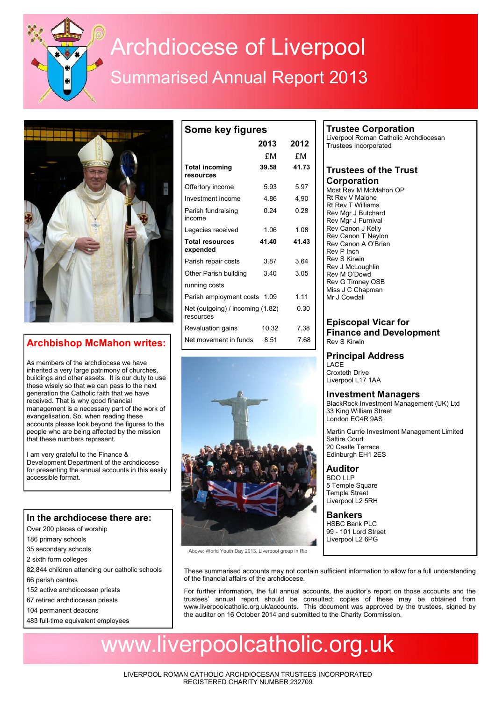# Archdiocese of Liverpool Summarised Annual Report 2013

**Some key figures**



## **Archbishop McMahon writes:**

As members of the archdiocese we have inherited a very large patrimony of churches, buildings and other assets. It is our duty to use these wisely so that we can pass to the next generation the Catholic faith that we have received. That is why good financial management is a necessary part of the work of evangelisation. So, when reading these accounts please look beyond the figures to the people who are being affected by the mission that these numbers represent.

I am very grateful to the Finance & Development Department of the archdiocese for presenting the annual accounts in this easily accessible format.

## **In the archdiocese there are:**

- Over 200 places of worship
- 186 primary schools
- 35 secondary schools
- 2 sixth form colleges
- 82,844 children attending our catholic schools
- 66 parish centres
- 152 active archdiocesan priests
- 67 retired archdiocesan priests
- 104 permanent deacons
- 483 full-time equivalent employees

| , ,                                           |       |       |  |  |  |
|-----------------------------------------------|-------|-------|--|--|--|
|                                               | 2013  | 2012  |  |  |  |
|                                               | £Μ    | £Μ    |  |  |  |
| <b>Total incoming</b><br>resources            | 39.58 | 41.73 |  |  |  |
| Offertory income                              | 5.93  | 5.97  |  |  |  |
| Investment income                             | 4.86  | 4.90  |  |  |  |
| Parish fundraising<br>income                  | 0.24  | 0.28  |  |  |  |
| Legacies received                             | 1.06  | 1.08  |  |  |  |
| <b>Total resources</b><br>expended            | 41.40 | 41.43 |  |  |  |
| Parish repair costs                           | 3.87  | 3.64  |  |  |  |
| Other Parish building                         | 3.40  | 3.05  |  |  |  |
| running costs                                 |       |       |  |  |  |
| Parish employment costs 1.09                  |       | 1 1 1 |  |  |  |
| Net (outgoing) / incoming (1.82)<br>resources |       | 0.30  |  |  |  |
| Revaluation gains                             | 10.32 | 7.38  |  |  |  |
| Net movement in funds                         | 8.51  | 7.68  |  |  |  |



Above: World Youth Day 2013, Liverpool group in Rio

### **Trustee Corporation**

Liverpool Roman Catholic Archdiocesan Trustees Incorporated

#### **Trustees of the Trust Corporation**

Most Rev M McMahon OP Rt Rev V Malone Rt Rev T Williams Rev Mgr J Butchard Rev Mgr J Furnival Rev Canon J Kelly Rev Canon T Neylon Rev Canon A O'Brien Rev P Inch Rev S Kirwin Rev J McLoughlin Rev M O'Dowd Rev G Timney OSB Miss J C Chapman Mr J Cowdall

#### **Episcopal Vicar for Finance and Development** Rev S Kirwin

## **Principal Address**

LACE Croxteth Drive Liverpool L17 1AA

#### **Investment Managers**

BlackRock Investment Management (UK) Ltd 33 King William Street London EC4R 9AS

Martin Currie Investment Management Limited Saltire Court 20 Castle Terrace Edinburgh EH1 2ES

**Auditor** BDO LLP 5 Temple Square Temple Street Liverpool L2 5RH

**Bankers** HSBC Bank PLC 99 - 101 Lord Street Liverpool L2 6PG

These summarised accounts may not contain sufficient information to allow for a full understanding of the financial affairs of the archdiocese.

For further information, the full annual accounts, the auditor's report on those accounts and the trustees' annual report should be consulted; copies of these may be obtained from www.liverpoolcatholic.org.uk/accounts. This document was approved by the trustees, signed by the auditor on 16 October 2014 and submitted to the Charity Commission.

## www.liverpoolcatholic.org.uk

LIVERPOOL ROMAN CATHOLIC ARCHDIOCESAN TRUSTEES INCORPORATED REGISTERED CHARITY NUMBER 232709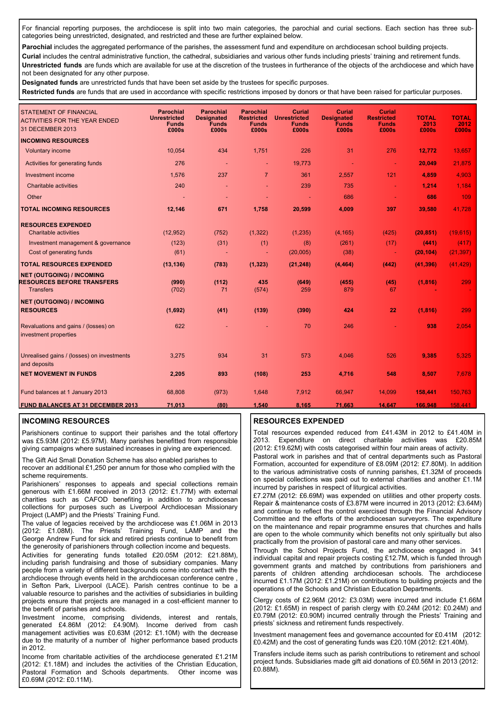For financial reporting purposes, the archdiocese is split into two main categories, the parochial and curial sections. Each section has three subcategories being unrestricted, designated, and restricted and these are further explained below.

Parochial includes the aggregated performance of the parishes, the assessment fund and expenditure on archdiocesan school building projects.

**Curial** includes the central administrative function, the cathedral, subsidiaries and various other funds including priests' training and retirement funds. **Unrestricted funds** are funds which are available for use at the discretion of the trustees in furtherance of the objects of the archdiocese and which have not been designated for any other purpose.

**Designated funds** are unrestricted funds that have been set aside by the trustees for specific purposes.

**Restricted funds** are funds that are used in accordance with specific restrictions imposed by donors or that have been raised for particular purposes.

| <b>STATEMENT OF FINANCIAL</b><br><b>ACTIVITIES FOR THE YEAR ENDED</b><br>31 DECEMBER 2013 | <b>Parochial</b><br><b>Unrestricted</b><br><b>Funds</b><br>£000s | <b>Parochial</b><br><b>Designated</b><br><b>Funds</b><br>£000s | <b>Parochial</b><br><b>Restricted</b><br><b>Funds</b><br>£000s | <b>Curial</b><br><b>Unrestricted</b><br><b>Funds</b><br>£000s | <b>Curial</b><br><b>Designated</b><br><b>Funds</b><br>£000s | <b>Curial</b><br><b>Restricted</b><br><b>Funds</b><br>£000s | <b>TOTAL</b><br>2013<br>£000s | <b>TOTAL</b><br>2012<br>£000s |
|-------------------------------------------------------------------------------------------|------------------------------------------------------------------|----------------------------------------------------------------|----------------------------------------------------------------|---------------------------------------------------------------|-------------------------------------------------------------|-------------------------------------------------------------|-------------------------------|-------------------------------|
| <b>INCOMING RESOURCES</b>                                                                 |                                                                  |                                                                |                                                                |                                                               |                                                             |                                                             |                               |                               |
| <b>Voluntary income</b>                                                                   | 10,054                                                           | 434                                                            | 1.751                                                          | 226                                                           | 31                                                          | 276                                                         | 12.772                        | 13,657                        |
| Activities for generating funds                                                           | 276                                                              | . –                                                            | $\blacksquare$                                                 | 19,773                                                        |                                                             | $\sim$                                                      | 20,049                        | 21,875                        |
| Investment income                                                                         | 1,576                                                            | 237                                                            | $\overline{7}$                                                 | 361                                                           | 2,557                                                       | 121                                                         | 4.859                         | 4,903                         |
| <b>Charitable activities</b>                                                              | 240                                                              |                                                                |                                                                | 239                                                           | 735                                                         | $\blacksquare$                                              | 1,214                         | 1,184                         |
| Other                                                                                     |                                                                  |                                                                |                                                                |                                                               | 686                                                         |                                                             | 686                           | 109                           |
| <b>TOTAL INCOMING RESOURCES</b>                                                           | 12,146                                                           | 671                                                            | 1,758                                                          | 20,599                                                        | 4,009                                                       | 397                                                         | 39,580                        | 41,728                        |
| <b>RESOURCES EXPENDED</b>                                                                 |                                                                  |                                                                |                                                                |                                                               |                                                             |                                                             |                               |                               |
| <b>Charitable activities</b>                                                              | (12, 952)                                                        | (752)                                                          | (1, 322)                                                       | (1, 235)                                                      | (4, 165)                                                    | (425)                                                       | (20, 851)                     | (19,615)                      |
| Investment management & governance                                                        | (123)                                                            | (31)                                                           | (1)                                                            | (8)                                                           | (261)                                                       | (17)                                                        | (441)                         | (417)                         |
| Cost of generating funds                                                                  | (61)                                                             |                                                                |                                                                | (20,005)                                                      | (38)                                                        | $\blacksquare$                                              | (20, 104)                     | (21, 397)                     |
| <b>TOTAL RESOURCES EXPENDED</b>                                                           | (13, 136)                                                        | (783)                                                          | (1, 323)                                                       | (21, 248)                                                     | (4, 464)                                                    | (442)                                                       | (41, 396)                     | (41, 429)                     |
| <b>NET (OUTGOING) / INCOMING</b><br><b>RESOURCES BEFORE TRANSFERS</b><br><b>Transfers</b> | (990)<br>(702)                                                   | (112)<br>71                                                    | 435<br>(574)                                                   | (649)<br>259                                                  | (455)<br>879                                                | (45)<br>67                                                  | (1, 816)                      | 299                           |
| <b>NET (OUTGOING) / INCOMING</b>                                                          |                                                                  |                                                                |                                                                |                                                               |                                                             |                                                             |                               |                               |
| <b>RESOURCES</b>                                                                          | (1,692)                                                          | (41)                                                           | (139)                                                          | (390)                                                         | 424                                                         | 22                                                          | (1, 816)                      | 299                           |
| Revaluations and gains / (losses) on<br>investment properties                             | 622                                                              |                                                                |                                                                | 70                                                            | 246                                                         |                                                             | 938                           | 2,054                         |
| Unrealised gains / (losses) on investments<br>and deposits                                | 3.275                                                            | 934                                                            | 31                                                             | 573                                                           | 4,046                                                       | 526                                                         | 9,385                         | 5,325                         |
| <b>NET MOVEMENT IN FUNDS</b>                                                              | 2,205                                                            | 893                                                            | (108)                                                          | 253                                                           | 4,716                                                       | 548                                                         | 8,507                         | 7,678                         |
| Fund balances at 1 January 2013                                                           | 68,808                                                           | (973)                                                          | 1,648                                                          | 7,912                                                         | 66,947                                                      | 14,099                                                      | 158,441                       | 150,763                       |
| <b>FUND BALANCES AT 31 DECEMBER 2013</b>                                                  | 71,013                                                           | (80)                                                           | 1.540                                                          | 8.165                                                         | 71.663                                                      | 14,647                                                      | 166,948                       | 158.441                       |

#### **INCOMING RESOURCES**

Parishioners continue to support their parishes and the total offertory was £5.93M (2012: £5.97M). Many parishes benefitted from responsible giving campaigns where sustained increases in giving are experienced.

The Gift Aid Small Donation Scheme has also enabled parishes to recover an additional £1,250 per annum for those who complied with the scheme requirements.

Parishioners' responses to appeals and special collections remain generous with £1.66M received in 2013 (2012: £1.77M) with external charities such as CAFOD benefiting in addition to archdiocesan collections for purposes such as Liverpool Archdiocesan Missionary Project (LAMP) and the Priests' Training Fund.

The value of legacies received by the archdiocese was £1.06M in 2013 (2012: £1.08M). The Priests' Training Fund, LAMP and the George Andrew Fund for sick and retired priests continue to benefit from the generosity of parishioners through collection income and bequests.

Activities for generating funds totalled £20.05M (2012: £21.88M), including parish fundraising and those of subsidiary companies. Many people from a variety of different backgrounds come into contact with the archdiocese through events held in the archdiocesan conference centre , in Sefton Park, Liverpool (LACE). Parish centres continue to be a valuable resource to parishes and the activities of subsidiaries in building projects ensure that projects are managed in a cost-efficient manner to the benefit of parishes and schools.

Investment income, comprising dividends, interest and rentals, generated £4.86M (2012: £4.90M). Income derived from cash management activities was £0.63M (2012: £1.10M) with the decrease due to the maturity of a number of higher performance based products in 2012.

Income from charitable activities of the archdiocese generated £1.21M (2012: £1.18M) and includes the activities of the Christian Education, Pastoral Formation and Schools departments. Other income was £0.69M (2012: £0.11M).

#### **RESOURCES EXPENDED**

Total resources expended reduced from £41.43M in 2012 to £41.40M in 2013. Expenditure on direct charitable activities was £20.85M (2012: £19.62M) with costs categorised within four main areas of activity.

Pastoral work in parishes and that of central departments such as Pastoral Formation, accounted for expenditure of £8.09M (2012: £7.80M). In addition to the various administrative costs of running parishes, £1.32M of proceeds on special collections was paid out to external charities and another £1.1M incurred by parishes in respect of liturgical activities.

£7.27M (2012: £6.69M) was expended on utilities and other property costs. Repair & maintenance costs of £3.87M were incurred in 2013 (2012: £3.64M) and continue to reflect the control exercised through the Financial Advisory Committee and the efforts of the archdiocesan surveyors. The expenditure on the maintenance and repair programme ensures that churches and halls are open to the whole community which benefits not only spiritually but also practically from the provision of pastoral care and many other services.

Through the School Projects Fund, the archdiocese engaged in 341 individual capital and repair projects costing £12.7M, which is funded through government grants and matched by contributions from parishioners and parents of children attending archdiocesan schools. The archdiocese incurred £1.17M (2012: £1.21M) on contributions to building projects and the operations of the Schools and Christian Education Departments.

Clergy costs of £2.96M (2012: £3.03M) were incurred and include £1.66M (2012: £1.65M) in respect of parish clergy with £0.24M (2012: £0.24M) and £0.79M (2012: £0.90M) incurred centrally through the Priests' Training and priests' sickness and retirement funds respectively.

Investment management fees and governance accounted for £0.41M (2012: £0.42M) and the cost of generating funds was £20.10M (2012: £21.40M).

Transfers include items such as parish contributions to retirement and school project funds. Subsidiaries made gift aid donations of £0.56M in 2013 (2012: £0.88M).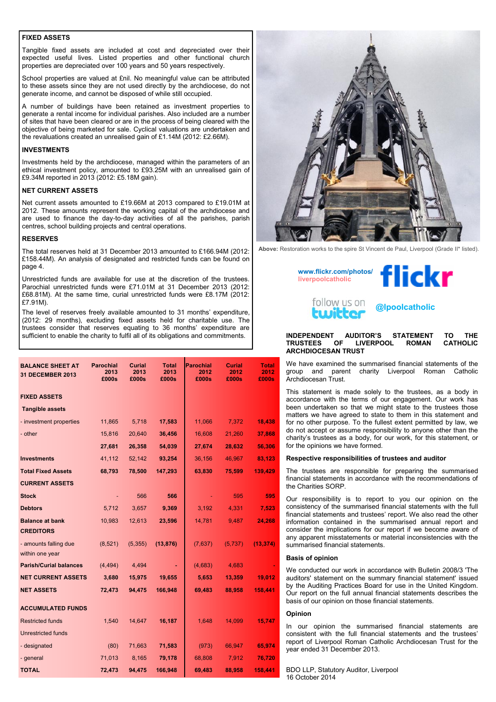#### **FIXED ASSETS**

Tangible fixed assets are included at cost and depreciated over their expected useful lives. Listed properties and other functional church properties are depreciated over 100 years and 50 years respectively.

School properties are valued at £nil. No meaningful value can be attributed to these assets since they are not used directly by the archdiocese, do not generate income, and cannot be disposed of while still occupied.

A number of buildings have been retained as investment properties to generate a rental income for individual parishes. Also included are a number of sites that have been cleared or are in the process of being cleared with the objective of being marketed for sale. Cyclical valuations are undertaken and the revaluations created an unrealised gain of £1.14M (2012: £2.66M).

#### **INVESTMENTS**

Investments held by the archdiocese, managed within the parameters of an ethical investment policy, amounted to £93.25M with an unrealised gain of £9.34M reported in 2013 (2012: £5.18M gain).

#### **NET CURRENT ASSETS**

Net current assets amounted to £19.66M at 2013 compared to £19.01M at 2012. These amounts represent the working capital of the archdiocese and are used to finance the day-to-day activities of all the parishes, parish centres, school building projects and central operations.

#### **RESERVES**

The total reserves held at 31 December 2013 amounted to £166.94M (2012: £158.44M). An analysis of designated and restricted funds can be found on page 4.

Unrestricted funds are available for use at the discretion of the trustees. Parochial unrestricted funds were £71.01M at 31 December 2013 (2012: £68.81M). At the same time, curial unrestricted funds were £8.17M (2012: £7.91M).

The level of reserves freely available amounted to 31 months' expenditure, (2012: 29 months), excluding fixed assets held for charitable use. The trustees consider that reserves equating to 36 months' expenditure are sufficient to enable the charity to fulfil all of its obligations and commitments.

| <b>BALANCE SHEET AT</b><br><b>31 DECEMBER 2013</b> | <b>Parochial</b><br>2013<br>£000s | Curial<br>2013<br>£000s | <b>Total</b><br>2013<br>£000s | Parochial<br>2012<br>£000s | <b>Curial</b><br>2012<br>£000s | <b>Total</b><br>2012<br>£000s |
|----------------------------------------------------|-----------------------------------|-------------------------|-------------------------------|----------------------------|--------------------------------|-------------------------------|
| <b>FIXED ASSETS</b>                                |                                   |                         |                               |                            |                                |                               |
| <b>Tangible assets</b>                             |                                   |                         |                               |                            |                                |                               |
| - investment properties                            | 11,865                            | 5,718                   | 17,583                        | 11,066                     | 7,372                          | 18,438                        |
| - other                                            | 15,816                            | 20,640                  | 36,456                        | 16,608                     | 21,260                         | 37,868                        |
|                                                    | 27,681                            | 26,358                  | 54,039                        | 27,674                     | 28,632                         | 56,306                        |
| <b>Investments</b>                                 | 41,112                            | 52,142                  | 93,254                        | 36,156                     | 46,967                         | 83,123                        |
| <b>Total Fixed Assets</b>                          | 68,793                            | 78,500                  | 147,293                       | 63,830                     | 75,599                         | 139,429                       |
| <b>CURRENT ASSETS</b>                              |                                   |                         |                               |                            |                                |                               |
| <b>Stock</b>                                       |                                   | 566                     | 566                           |                            | 595                            | 595                           |
| <b>Debtors</b>                                     | 5,712                             | 3,657                   | 9,369                         | 3,192                      | 4,331                          | 7,523                         |
| <b>Balance at bank</b>                             | 10,983                            | 12,613                  | 23,596                        | 14,781                     | 9,487                          | 24,268                        |
| <b>CREDITORS</b>                                   |                                   |                         |                               |                            |                                |                               |
| - amounts falling due<br>within one year           | (8,521)                           | (5, 355)                | (13, 876)                     | (7,637)                    | (5, 737)                       | (13, 374)                     |
| <b>Parish/Curial balances</b>                      | (4, 494)                          | 4,494                   |                               | (4,683)                    | 4,683                          |                               |
| <b>NET CURRENT ASSETS</b>                          | 3,680                             | 15,975                  | 19,655                        | 5,653                      | 13,359                         | 19,012                        |
| <b>NET ASSETS</b>                                  | 72,473                            | 94,475                  | 166,948                       | 69,483                     | 88,958                         | 158,441                       |
| <b>ACCUMULATED FUNDS</b>                           |                                   |                         |                               |                            |                                |                               |
| <b>Restricted funds</b>                            | 1,540                             | 14,647                  | 16,187                        | 1,648                      | 14,099                         | 15,747                        |
| <b>Unrestricted funds</b>                          |                                   |                         |                               |                            |                                |                               |
| - designated                                       | (80)                              | 71,663                  | 71,583                        | (973)                      | 66,947                         | 65,974                        |
| - general                                          | 71,013                            | 8,165                   | 79,178                        | 68,808                     | 7,912                          | 76,720                        |
| <b>TOTAL</b>                                       | 72,473                            | 94,475                  | 166,948                       | 69,483                     | 88,958                         | 158,441                       |



**Above:** Restoration works to the spire St Vincent de Paul, Liverpool (Grade II\* listed).



#### **INDEPENDENT AUDITOR'S STATEMENT TO THE LIVERPOOL ARCHDIOCESAN TRUST**

We have examined the summarised financial statements of the group and parent charity Liverpool Roman Catholic Archdiocesan Trust.

This statement is made solely to the trustees, as a body in accordance with the terms of our engagement. Our work has been undertaken so that we might state to the trustees those matters we have agreed to state to them in this statement and for no other purpose. To the fullest extent permitted by law, we do not accept or assume responsibility to anyone other than the charity's trustees as a body, for our work, for this statement, or for the opinions we have formed.

#### **Respective responsibilities of trustees and auditor**

The trustees are responsible for preparing the summarised financial statements in accordance with the recommendations of the Charities SORP.

Our responsibility is to report to you our opinion on the consistency of the summarised financial statements with the full financial statements and trustees' report. We also read the other information contained in the summarised annual report and consider the implications for our report if we become aware of any apparent misstatements or material inconsistencies with the summarised financial statements.

#### **Basis of opinion**

We conducted our work in accordance with Bulletin 2008/3 'The auditors' statement on the summary financial statement' issued by the Auditing Practices Board for use in the United Kingdom. Our report on the full annual financial statements describes the basis of our opinion on those financial statements.

#### **Opinion**

In our opinion the summarised financial statements are consistent with the full financial statements and the trustees' report of Liverpool Roman Catholic Archdiocesan Trust for the year ended 31 December 2013.

BDO LLP, Statutory Auditor, Liverpool 16 October 2014